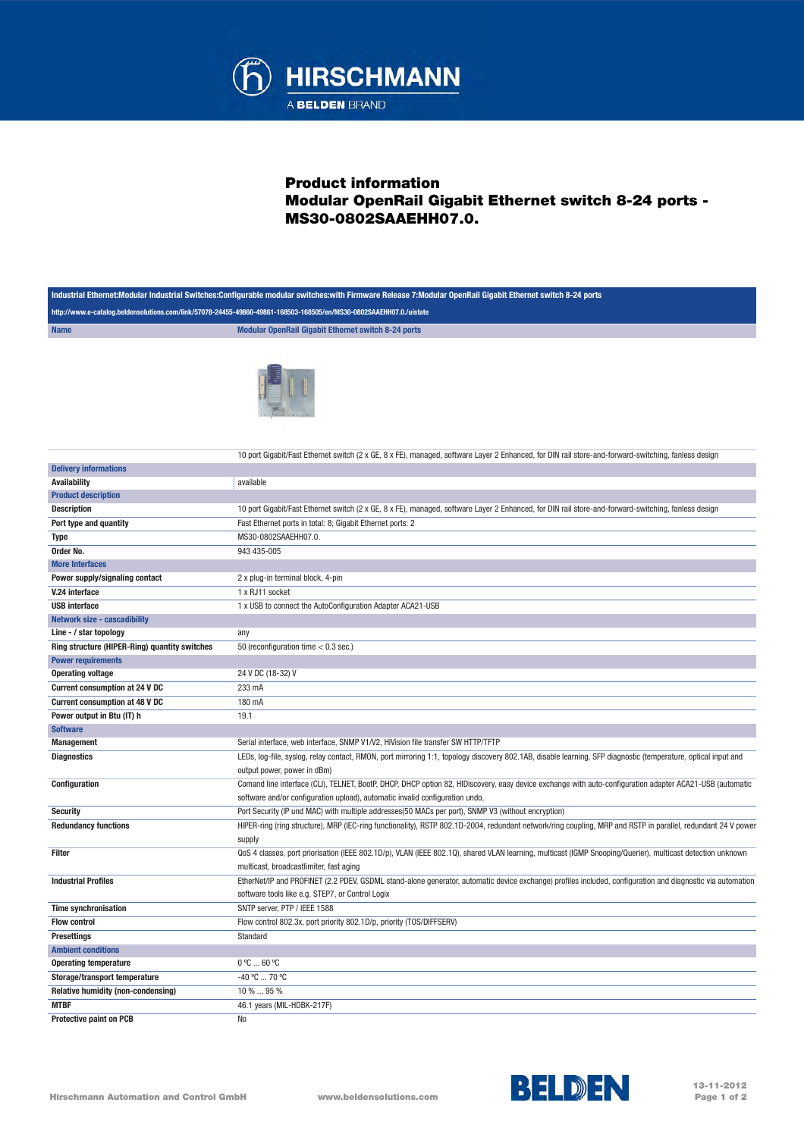

## Product information Modular OpenRail Gigabit Ethernet switch 8-24 ports - MS30-0802SAAEHH07.0.

| Industrial Ethernet:Modular Industrial Switches:Configurable modular switches:with Firmware Release 7:Modular OpenRail Gigabit Ethernet switch 8-24 ports |                                                                                                                                                               |  |
|-----------------------------------------------------------------------------------------------------------------------------------------------------------|---------------------------------------------------------------------------------------------------------------------------------------------------------------|--|
| http://www.e-catalog.beldensolutions.com/link/57078-24455-49860-49861-168503-168505/en/MS30-0802SAAEHH07.0./uistate                                       |                                                                                                                                                               |  |
| <b>Name</b>                                                                                                                                               | Modular OpenRail Gigabit Ethernet switch 8-24 ports                                                                                                           |  |
|                                                                                                                                                           |                                                                                                                                                               |  |
|                                                                                                                                                           |                                                                                                                                                               |  |
|                                                                                                                                                           |                                                                                                                                                               |  |
|                                                                                                                                                           |                                                                                                                                                               |  |
|                                                                                                                                                           |                                                                                                                                                               |  |
|                                                                                                                                                           |                                                                                                                                                               |  |
|                                                                                                                                                           |                                                                                                                                                               |  |
|                                                                                                                                                           |                                                                                                                                                               |  |
|                                                                                                                                                           | 10 port Gigabit/Fast Ethernet switch (2 x GE, 8 x FE), managed, software Layer 2 Enhanced, for DIN rail store-and-forward-switching, fanless design           |  |
| <b>Delivery informations</b>                                                                                                                              |                                                                                                                                                               |  |
| <b>Availability</b>                                                                                                                                       | available                                                                                                                                                     |  |
| <b>Product description</b>                                                                                                                                |                                                                                                                                                               |  |
| <b>Description</b>                                                                                                                                        | 10 port Gigabit/Fast Ethernet switch (2 x GE, 8 x FE), managed, software Layer 2 Enhanced, for DIN rail store-and-forward-switching, fanless design           |  |
| Port type and quantity                                                                                                                                    | Fast Ethernet ports in total: 8; Gigabit Ethernet ports: 2                                                                                                    |  |
| <b>Type</b>                                                                                                                                               | MS30-0802SAAEHH07.0.                                                                                                                                          |  |
| Order No.                                                                                                                                                 | 943 435-005                                                                                                                                                   |  |
| <b>More Interfaces</b>                                                                                                                                    |                                                                                                                                                               |  |
| Power supply/signaling contact                                                                                                                            |                                                                                                                                                               |  |
| V.24 interface                                                                                                                                            | 2 x plug-in terminal block, 4-pin<br>1 x RJ11 socket                                                                                                          |  |
| <b>USB</b> interface                                                                                                                                      | 1 x USB to connect the AutoConfiguration Adapter ACA21-USB                                                                                                    |  |
| <b>Network size - cascadibility</b>                                                                                                                       |                                                                                                                                                               |  |
| Line - / star topology                                                                                                                                    | any                                                                                                                                                           |  |
| Ring structure (HIPER-Ring) quantity switches                                                                                                             | 50 (reconfiguration time $< 0.3$ sec.)                                                                                                                        |  |
| <b>Power requirements</b>                                                                                                                                 |                                                                                                                                                               |  |
| <b>Operating voltage</b>                                                                                                                                  | 24 V DC (18-32) V                                                                                                                                             |  |
| Current consumption at 24 V DC                                                                                                                            | 233 mA                                                                                                                                                        |  |
| <b>Current consumption at 48 V DC</b>                                                                                                                     | 180 mA                                                                                                                                                        |  |
| Power output in Btu (IT) h                                                                                                                                | 19.1                                                                                                                                                          |  |
| <b>Software</b>                                                                                                                                           |                                                                                                                                                               |  |
| <b>Management</b>                                                                                                                                         | Serial interface, web interface, SNMP V1/V2, HiVision file transfer SW HTTP/TFTP                                                                              |  |
| <b>Diagnostics</b>                                                                                                                                        | LEDs, log-file, syslog, relay contact, RMON, port mirroring 1:1, topology discovery 802.1AB, disable learning, SFP diagnostic (temperature, optical input and |  |
|                                                                                                                                                           | output power, power in dBm)                                                                                                                                   |  |
| Configuration                                                                                                                                             | Comand line interface (CLI), TELNET, BootP, DHCP, DHCP option 82, HIDiscovery, easy device exchange with auto-configuration adapter ACA21-USB (automatic      |  |
|                                                                                                                                                           | software and/or configuration upload), automatic invalid configuration undo,                                                                                  |  |
| <b>Security</b>                                                                                                                                           | Port Security (IP und MAC) with multiple addresses(50 MACs per port), SNMP V3 (without encryption)                                                            |  |
| <b>Redundancy functions</b>                                                                                                                               | HIPER-ring (ring structure), MRP (IEC-ring functionality), RSTP 802.1D-2004, redundant network/ring coupling, MRP and RSTP in parallel, redundant 24 V power  |  |
|                                                                                                                                                           | supply                                                                                                                                                        |  |
| Filter                                                                                                                                                    | QoS 4 classes, port priorisation (IEEE 802.1D/p), VLAN (IEEE 802.1Q), shared VLAN learning, multicast (IGMP Snooping/Querier), multicast detection unknown    |  |
|                                                                                                                                                           | multicast, broadcastlimiter, fast aging                                                                                                                       |  |
| <b>Industrial Profiles</b>                                                                                                                                | EtherNet/IP and PROFINET (2.2 PDEV, GSDML stand-alone generator, automatic device exchange) profiles included, configuration and diagnostic via automation    |  |
|                                                                                                                                                           | software tools like e.g. STEP7, or Control Logix                                                                                                              |  |
| <b>Time synchronisation</b>                                                                                                                               | SNTP server, PTP / IEEE 1588                                                                                                                                  |  |
| <b>Flow control</b>                                                                                                                                       | Flow control 802.3x, port priority 802.1D/p, priority (TOS/DIFFSERV)                                                                                          |  |
|                                                                                                                                                           |                                                                                                                                                               |  |
| <b>Presettings</b><br><b>Ambient conditions</b>                                                                                                           | Standard                                                                                                                                                      |  |
| <b>Operating temperature</b>                                                                                                                              | $0^{\circ}$ C  60 $^{\circ}$ C                                                                                                                                |  |
| Storage/transport temperature                                                                                                                             | -40 °C  70 °C                                                                                                                                                 |  |
| Relative humidity (non-condensing)                                                                                                                        | 10 %  95 %                                                                                                                                                    |  |
| <b>MTBF</b>                                                                                                                                               |                                                                                                                                                               |  |
|                                                                                                                                                           | 46.1 years (MIL-HDBK-217F)                                                                                                                                    |  |
| Protective paint on PCB                                                                                                                                   | No                                                                                                                                                            |  |